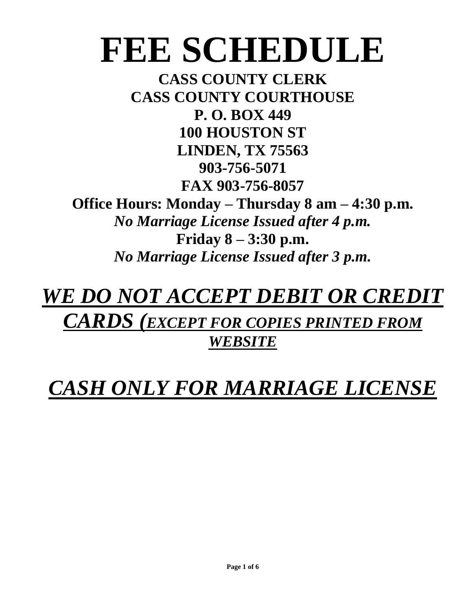# **FEE SCHEDULE**

**CASS COUNTY CLERK CASS COUNTY COURTHOUSE P. O. BOX 449 100 HOUSTON ST LINDEN, TX 75563 903-756-5071 FAX 903-756-8057**

**Office Hours: Monday – Thursday 8 am – 4:30 p.m.** *No Marriage License Issued after 4 p.m.* **Friday 8 – 3:30 p.m.** *No Marriage License Issued after 3 p.m.*

# *WE DO NOT ACCEPT DEBIT OR CREDIT CARDS (EXCEPT FOR COPIES PRINTED FROM WEBSITE*

# *CASH ONLY FOR MARRIAGE LICENSE*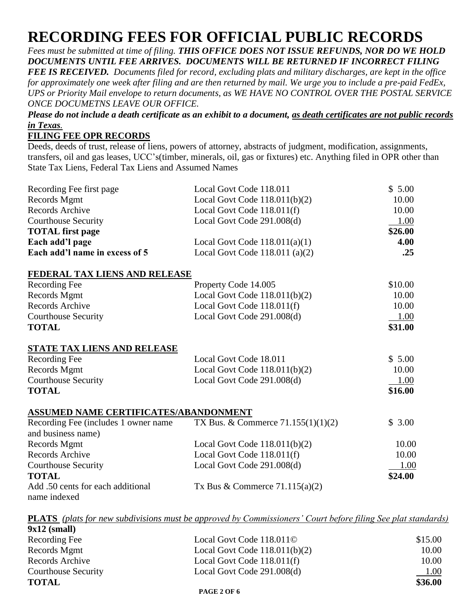### **RECORDING FEES FOR OFFICIAL PUBLIC RECORDS**

*Fees must be submitted at time of filing. THIS OFFICE DOES NOT ISSUE REFUNDS, NOR DO WE HOLD DOCUMENTS UNTIL FEE ARRIVES. DOCUMENTS WILL BE RETURNED IF INCORRECT FILING* 

*FEE IS RECEIVED. Documents filed for record, excluding plats and military discharges, are kept in the office for approximately one week after filing and are then returned by mail. We urge you to include a pre-paid FedEx, UPS or Priority Mail envelope to return documents, as WE HAVE NO CONTROL OVER THE POSTAL SERVICE ONCE DOCUMETNS LEAVE OUR OFFICE.* 

*Please do not include a death certificate as an exhibit to a document, as death certificates are not public records in Texas.*

#### **FILING FEE OPR RECORDS**

Deeds, deeds of trust, release of liens, powers of attorney, abstracts of judgment, modification, assignments, transfers, oil and gas leases, UCC's(timber, minerals, oil, gas or fixtures) etc. Anything filed in OPR other than State Tax Liens, Federal Tax Liens and Assumed Names

| Recording Fee first page                          | Local Govt Code 118.011              | \$5.00  |
|---------------------------------------------------|--------------------------------------|---------|
| Records Mgmt                                      | Local Govt Code $118.011(b)(2)$      | 10.00   |
| <b>Records Archive</b>                            | Local Govt Code 118.011(f)           | 10.00   |
| <b>Courthouse Security</b>                        | Local Govt Code 291.008(d)           | 1.00    |
| <b>TOTAL</b> first page                           |                                      | \$26.00 |
| Each add'l page                                   | Local Govt Code $118.011(a)(1)$      | 4.00    |
| Each add'l name in excess of 5                    | Local Govt Code $118.011$ (a)(2)     | .25     |
| FEDERAL TAX LIENS AND RELEASE                     |                                      |         |
| Recording Fee                                     | Property Code 14.005                 | \$10.00 |
| Records Mgmt                                      | Local Govt Code $118.011(b)(2)$      | 10.00   |
| Records Archive                                   | Local Govt Code 118.011(f)           | 10.00   |
| <b>Courthouse Security</b>                        | Local Govt Code 291.008(d)           | 1.00    |
| <b>TOTAL</b>                                      |                                      | \$31.00 |
| <b>STATE TAX LIENS AND RELEASE</b>                |                                      |         |
| Recording Fee                                     | Local Govt Code 18.011               | \$5.00  |
| Records Mgmt                                      | Local Govt Code $118.011(b)(2)$      | 10.00   |
| <b>Courthouse Security</b>                        | Local Govt Code 291.008(d)           | 1.00    |
| <b>TOTAL</b>                                      |                                      | \$16.00 |
| ASSUMED NAME CERTIFICATES/ABANDONMENT             |                                      |         |
| Recording Fee (includes 1 owner name              | TX Bus. & Commerce $71.155(1)(1)(2)$ | \$3.00  |
| and business name)                                |                                      |         |
| Records Mgmt                                      | Local Govt Code $118.011(b)(2)$      | 10.00   |
| Records Archive                                   | Local Govt Code 118.011(f)           | 10.00   |
| <b>Courthouse Security</b>                        | Local Govt Code 291.008(d)           | 1.00    |
| <b>TOTAL</b>                                      |                                      | \$24.00 |
| Add .50 cents for each additional<br>name indexed | Tx Bus & Commerce $71.115(a)(2)$     |         |

**PLATS** *(plats for new subdivisions must be approved by Commissioners' Court before filing See plat standards)*  $\frac{1}{2}$  **(small)** 

| $JAL4$ (SHIAH)      |                                 |         |
|---------------------|---------------------------------|---------|
| Recording Fee       | Local Govt Code 118.0110        | \$15.00 |
| Records Mgmt        | Local Govt Code $118.011(b)(2)$ | 10.00   |
| Records Archive     | Local Govt Code $118.011(f)$    | 10.00   |
| Courthouse Security | Local Govt Code 291.008(d)      | 1.00    |
| <b>TOTAL</b>        |                                 | \$36.00 |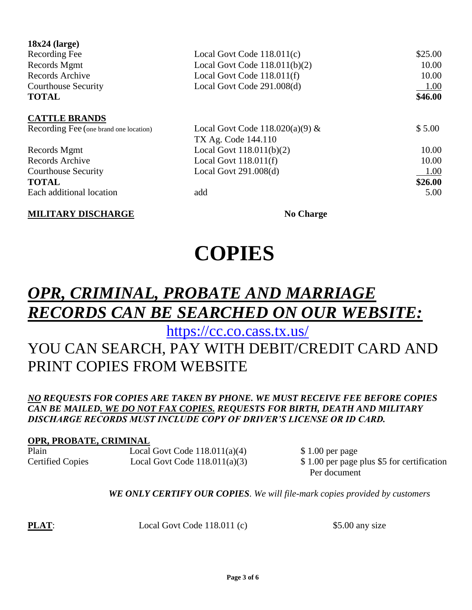| \$25.00<br>10.00 |
|------------------|
|                  |
|                  |
| 10.00            |
| 1.00             |
| \$46.00          |
|                  |
| \$5.00           |
|                  |
| 10.00            |
| 10.00            |
| 1.00             |
| \$26.00          |
| 5.00             |
|                  |

**MILITARY DISCHARGE No Charge** 

# **COPIES**

## *OPR, CRIMINAL, PROBATE AND MARRIAGE RECORDS CAN BE SEARCHED ON OUR WEBSITE:*

<https://cc.co.cass.tx.us/>

### YOU CAN SEARCH, PAY WITH DEBIT/CREDIT CARD AND PRINT COPIES FROM WEBSITE

#### *NO REQUESTS FOR COPIES ARE TAKEN BY PHONE. WE MUST RECEIVE FEE BEFORE COPIES CAN BE MAILED. WE DO NOT FAX COPIES. REQUESTS FOR BIRTH, DEATH AND MILITARY DISCHARGE RECORDS MUST INCLUDE COPY OF DRIVER'S LICENSE OR ID CARD.*

#### **OPR, PROBATE, CRIMINAL**

Plain Local Govt Code 118.011(a)(4) \$ 1.00 per page Certified Copies Local Govt Code 118.011(a)(3) \$1.00 per page plus \$5 for certification

Per document

*WE ONLY CERTIFY OUR COPIES. We will file-mark copies provided by customers*

**PLAT**: Local Govt Code 118.011 (c) \$5.00 any size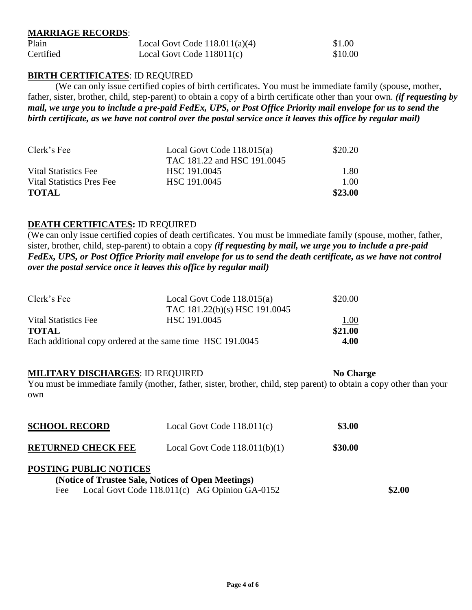#### **MARRIAGE RECORDS**:

| Plain     | Local Govt Code $118.011(a)(4)$ | \$1.00  |
|-----------|---------------------------------|---------|
| Certified | Local Govt Code $118011(c)$     | \$10.00 |

#### **BIRTH CERTIFICATES**: ID REQUIRED

(We can only issue certified copies of birth certificates. You must be immediate family (spouse, mother, father, sister, brother, child, step-parent) to obtain a copy of a birth certificate other than your own. *(if requesting by mail, we urge you to include a pre-paid FedEx, UPS, or Post Office Priority mail envelope for us to send the birth certificate, as we have not control over the postal service once it leaves this office by regular mail)*

| Clerk's Fee               | Local Govt Code $118.015(a)$ | \$20.20     |
|---------------------------|------------------------------|-------------|
|                           | TAC 181.22 and HSC 191.0045  |             |
| Vital Statistics Fee      | HSC 191.0045                 | 1.80        |
| Vital Statistics Pres Fee | HSC 191,0045                 | <u>1.00</u> |
| <b>TOTAL</b>              |                              | \$23.00     |

#### **DEATH CERTIFICATES:** ID REQUIRED

(We can only issue certified copies of death certificates. You must be immediate family (spouse, mother, father, sister, brother, child, step-parent) to obtain a copy *(if requesting by mail, we urge you to include a pre-paid FedEx, UPS, or Post Office Priority mail envelope for us to send the death certificate, as we have not control over the postal service once it leaves this office by regular mail)*

| Clerk's Fee                                                | Local Govt Code $118.015(a)$  | \$20.00 |
|------------------------------------------------------------|-------------------------------|---------|
|                                                            | TAC 181.22(b)(s) HSC 191.0045 |         |
| Vital Statistics Fee                                       | HSC 191.0045                  | 1.00    |
| <b>TOTAL</b>                                               |                               | \$21.00 |
| Each additional copy ordered at the same time HSC 191.0045 |                               | 4.00    |

#### **MILITARY DISCHARGES**: ID REQUIRED **No Charge**

You must be immediate family (mother, father, sister, brother, child, step parent) to obtain a copy other than your own

| <b>SCHOOL RECORD</b>          | Local Govt Code $118.011(c)$                       | \$3.00  |        |
|-------------------------------|----------------------------------------------------|---------|--------|
| <b>RETURNED CHECK FEE</b>     | Local Govt Code $118.011(b)(1)$                    | \$30.00 |        |
| <b>POSTING PUBLIC NOTICES</b> | (Notice of Trustee Sale, Notices of Open Meetings) |         |        |
| Fee                           | Local Govt Code 118.011(c) AG Opinion GA-0152      |         | \$2.00 |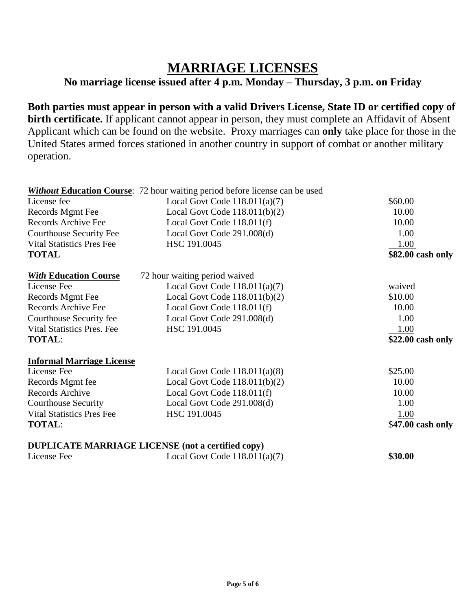### **MARRIAGE LICENSES**

#### **No marriage license issued after 4 p.m. Monday – Thursday, 3 p.m. on Friday**

**Both parties must appear in person with a valid Drivers License, State ID or certified copy of birth certificate.** If applicant cannot appear in person, they must complete an Affidavit of Absent Applicant which can be found on the website. Proxy marriages can **only** take place for those in the United States armed forces stationed in another country in support of combat or another military operation.

|                                   | <b>Without Education Course:</b> 72 hour waiting period before license can be used |                    |
|-----------------------------------|------------------------------------------------------------------------------------|--------------------|
| License fee                       | Local Govt Code $118.011(a)(7)$                                                    | \$60.00            |
| Records Mgmt Fee                  | Local Govt Code $118.011(b)(2)$                                                    | 10.00              |
| Records Archive Fee               | Local Govt Code 118.011(f)                                                         | 10.00              |
| <b>Courthouse Security Fee</b>    | Local Govt Code 291.008(d)                                                         | 1.00               |
| <b>Vital Statistics Pres Fee</b>  | HSC 191.0045                                                                       | 1.00               |
| <b>TOTAL</b>                      |                                                                                    | \$82.00 cash only  |
| <b>With Education Course</b>      | 72 hour waiting period waived                                                      |                    |
| License Fee                       | Local Govt Code $118.011(a)(7)$                                                    | waived             |
| Records Mgmt Fee                  | Local Govt Code $118.011(b)(2)$                                                    | \$10.00            |
| Records Archive Fee               | Local Govt Code 118.011(f)                                                         | 10.00              |
| Courthouse Security fee           | Local Govt Code 291.008(d)                                                         | 1.00               |
| <b>Vital Statistics Pres. Fee</b> | HSC 191.0045                                                                       | 1.00               |
| <b>TOTAL:</b>                     |                                                                                    | $$22.00$ cash only |
| <b>Informal Marriage License</b>  |                                                                                    |                    |
| License Fee                       | Local Govt Code $118.011(a)(8)$                                                    | \$25.00            |
| Records Mgmt fee                  | Local Govt Code $118.011(b)(2)$                                                    | 10.00              |
| Records Archive                   | Local Govt Code 118.011(f)                                                         | 10.00              |
| <b>Courthouse Security</b>        | Local Govt Code 291.008(d)                                                         | 1.00               |
| <b>Vital Statistics Pres Fee</b>  | HSC 191.0045                                                                       | 1.00               |
| <b>TOTAL:</b>                     |                                                                                    | \$47.00 cash only  |
|                                   | <b>DUPLICATE MARRIAGE LICENSE (not a certified copy)</b>                           |                    |
| License Fee                       | Local Govt Code $118.011(a)(7)$                                                    | \$30.00            |